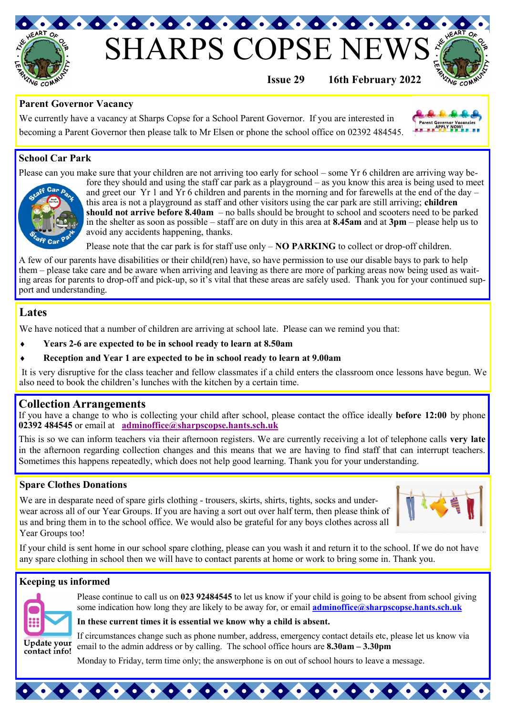

# **SHARPS COPSE**



Parent Governor Vacancies

**Issue 29 16th February 2022**

## **Parent Governor Vacancy**

We currently have a vacancy at Sharps Copse for a School Parent Governor. If you are interested in becoming a Parent Governor then please talk to Mr Elsen or phone the school office on 02392 484545.



Please can you make sure that your children are not arriving too early for school – some Yr 6 children are arriving way be-



fore they should and using the staff car park as a playground – as you know this area is being used to meet and greet our Yr 1 and Yr 6 children and parents in the morning and for farewells at the end of the day – this area is not a playground as staff and other visitors using the car park are still arriving; **children should not arrive before 8.40am** – no balls should be brought to school and scooters need to be parked in the shelter as soon as possible – staff are on duty in this area at **8.45am** and at **3pm** – please help us to avoid any accidents happening, thanks.

Please note that the car park is for staff use only – **NO PARKING** to collect or drop-off children.

A few of our parents have disabilities or their child(ren) have, so have permission to use our disable bays to park to help them – please take care and be aware when arriving and leaving as there are more of parking areas now being used as waiting areas for parents to drop-off and pick-up, so it's vital that these areas are safely used. Thank you for your continued support and understanding.

# **Lates**

We have noticed that a number of children are arriving at school late. Please can we remind you that:

- **Years 2-6 are expected to be in school ready to learn at 8.50am**
- **Reception and Year 1 are expected to be in school ready to learn at 9.00am**

It is very disruptive for the class teacher and fellow classmates if a child enters the classroom once lessons have begun. We also need to book the children's lunches with the kitchen by a certain time.

## **Collection Arrangements**

If you have a change to who is collecting your child after school, please contact the office ideally **before 12:00** by phone **02392 484545** or email at **adminoffice@sharpscopse.hants.sch.uk** 

This is so we can inform teachers via their afternoon registers. We are currently receiving a lot of telephone calls **very late**  in the afternoon regarding collection changes and this means that we are having to find staff that can interrupt teachers. Sometimes this happens repeatedly, which does not help good learning. Thank you for your understanding.

## **Spare Clothes Donations**

We are in desparate need of spare girls clothing - trousers, skirts, shirts, tights, socks and underwear across all of our Year Groups. If you are having a sort out over half term, then please think of us and bring them in to the school office. We would also be grateful for any boys clothes across all Year Groups too!



If your child is sent home in our school spare clothing, please can you wash it and return it to the school. If we do not have any spare clothing in school then we will have to contact parents at home or work to bring some in. Thank you.

## **Keeping us informed**



Please continue to call us on **023 92484545** to let us know if your child is going to be absent from school giving some indication how long they are likely to be away for, or email **[adminoffice@sharpscopse.hants.sch.uk](mailto:adminoffice@sharpscopse.hants.sch.uk)**

#### **In these current times it is essential we know why a child is absent.**

If circumstances change such as phone number, address, emergency contact details etc, please let us know via email to the admin address or by calling. The school office hours are **8.30am – 3.30pm** 

Monday to Friday, term time only; the answerphone is on out of school hours to leave a message.